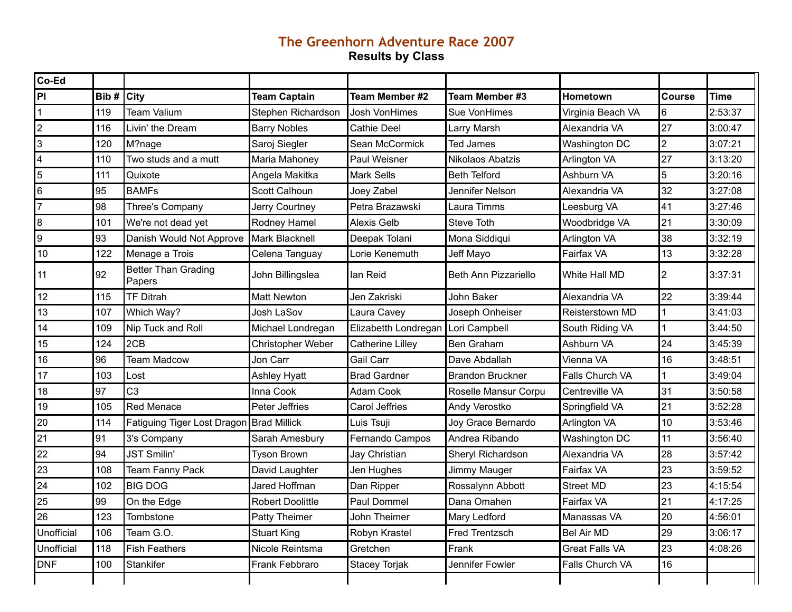## **The Greenhorn Adventure Race 2007 Results by Class**

| Co-Ed      |      |                                      |                         |                         |                         |                        |        |             |
|------------|------|--------------------------------------|-------------------------|-------------------------|-------------------------|------------------------|--------|-------------|
| PI         | Bib# | <b>City</b>                          | <b>Team Captain</b>     | Team Member #2          | Team Member #3          | Hometown               | Course | <b>Time</b> |
|            | 119  | <b>Team Valium</b>                   | Stephen Richardson      | Josh VonHimes           | Sue VonHimes            | Virginia Beach VA      | 6      | 2:53:37     |
| 2          | 116  | Livin' the Dream                     | <b>Barry Nobles</b>     | <b>Cathie Deel</b>      | Larry Marsh             | Alexandria VA          | 27     | 3:00:47     |
| 3          | 120  | M?nage                               | Saroj Siegler           | Sean McCormick          | Ted James               | Washington DC          | 2      | 3:07:21     |
| 4          | 110  | Two studs and a mutt                 | Maria Mahoney           | Paul Weisner            | Nikolaos Abatzis        | Arlington VA           | 27     | 3:13:20     |
| 5          | 111  | Quixote                              | Angela Makitka          | <b>Mark Sells</b>       | <b>Beth Telford</b>     | Ashburn VA             | 5      | 3:20:16     |
| 6          | 95   | <b>BAMFs</b>                         | Scott Calhoun           | Joey Zabel              | Jennifer Nelson         | Alexandria VA          | 32     | 3:27:08     |
| 17         | 98   | Three's Company                      | Jerry Courtney          | Petra Brazawski         | Laura Timms             | Leesburg VA            | 41     | 3:27:46     |
| 8          | 101  | We're not dead yet                   | Rodney Hamel            | <b>Alexis Gelb</b>      | Steve Toth              | Woodbridge VA          | 21     | 3:30:09     |
| 9          | 93   | Danish Would Not Approve             | Mark Blacknell          | Deepak Tolani           | Mona Siddiqui           | Arlington VA           | 38     | 3:32:19     |
| 10         | 122  | Menage a Trois                       | Celena Tanguay          | Lorie Kenemuth          | Jeff Mayo               | Fairfax VA             | 13     | 3:32:28     |
| 11         | 92   | <b>Better Than Grading</b><br>Papers | John Billingslea        | lan Reid                | Beth Ann Pizzariello    | White Hall MD          | 2      | 3:37:31     |
| 12         | 115  | <b>TF Ditrah</b>                     | <b>Matt Newton</b>      | Jen Zakriski            | John Baker              | Alexandria VA          | 22     | 3:39:44     |
| 13         | 107  | Which Way?                           | Josh LaSov              | Laura Cavey             | Joseph Onheiser         | Reisterstown MD        |        | 3:41:03     |
| 14         | 109  | Nip Tuck and Roll                    | Michael Londregan       | Elizabetth Londregan    | Lori Campbell           | South Riding VA        |        | 3:44:50     |
| 15         | 124  | 2CB                                  | Christopher Weber       | <b>Catherine Lilley</b> | Ben Graham              | Ashburn VA             | 24     | 3:45:39     |
| 16         | 96   | <b>Team Madcow</b>                   | Jon Carr                | Gail Carr               | Dave Abdallah           | Vienna VA              | 16     | 3:48:51     |
| 17         | 103  | Lost                                 | <b>Ashley Hyatt</b>     | <b>Brad Gardner</b>     | <b>Brandon Bruckner</b> | Falls Church VA        |        | 3:49:04     |
| 18         | 97   | C <sub>3</sub>                       | Inna Cook               | Adam Cook               | Roselle Mansur Corpu    | Centreville VA         | 31     | 3:50:58     |
| 19         | 105  | <b>Red Menace</b>                    | Peter Jeffries          | Carol Jeffries          | Andy Verostko           | Springfield VA         | 21     | 3:52:28     |
| 20         | 114  | Fatiguing Tiger Lost Dragon          | <b>Brad Millick</b>     | Luis Tsuji              | Joy Grace Bernardo      | Arlington VA           | 10     | 3:53:46     |
| 21         | 91   | 3's Company                          | Sarah Amesbury          | Fernando Campos         | Andrea Ribando          | Washington DC          | 11     | 3:56:40     |
| 22         | 94   | <b>JST Smilin'</b>                   | <b>Tyson Brown</b>      | Jay Christian           | Sheryl Richardson       | Alexandria VA          | 28     | 3:57:42     |
| 23         | 108  | Team Fanny Pack                      | David Laughter          | Jen Hughes              | Jimmy Mauger            | Fairfax VA             | 23     | 3:59:52     |
| 24         | 102  | <b>BIG DOG</b>                       | Jared Hoffman           | Dan Ripper              | Rossalynn Abbott        | <b>Street MD</b>       | 23     | 4:15:54     |
| 25         | 99   | On the Edge                          | <b>Robert Doolittle</b> | Paul Dommel             | Dana Omahen             | Fairfax VA             | 21     | 4:17:25     |
| 26         | 123  | Tombstone                            | Patty Theimer           | John Theimer            | Mary Ledford            | Manassas VA            | 20     | 4:56:01     |
| Unofficial | 106  | Team G.O.                            | <b>Stuart King</b>      | Robyn Krastel           | Fred Trentzsch          | <b>Bel Air MD</b>      | 29     | 3:06:17     |
| Unofficial | 118  | Fish Feathers                        | Nicole Reintsma         | Gretchen                | Frank                   | <b>Great Falls VA</b>  | 23     | 4:08:26     |
| DNF        | 100  | <b>Stankifer</b>                     | Frank Febbraro          | Stacey Torjak           | Jennifer Fowler         | <b>Falls Church VA</b> | 16     |             |
|            |      |                                      |                         |                         |                         |                        |        |             |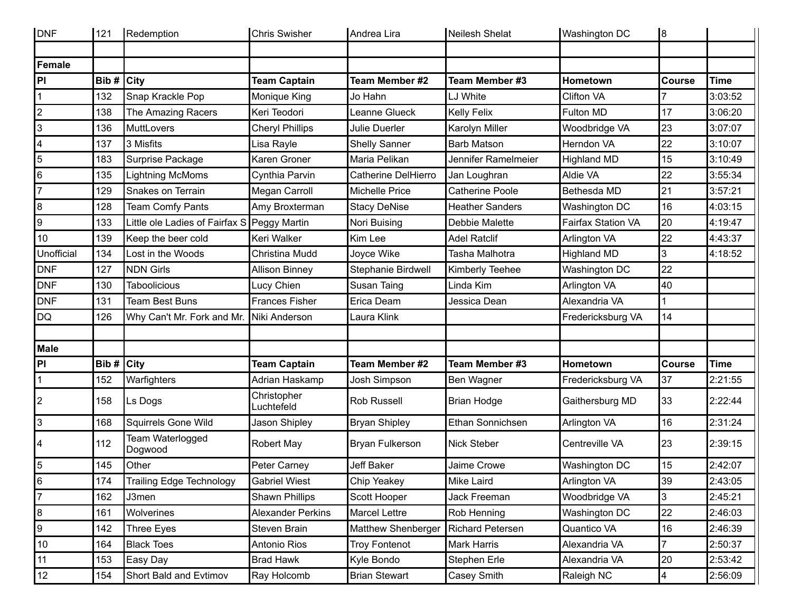| DNF            | 121           | Redemption                                  | <b>Chris Swisher</b>      | Andrea Lira            | Neilesh Shelat          | Washington DC             | 8                       |             |
|----------------|---------------|---------------------------------------------|---------------------------|------------------------|-------------------------|---------------------------|-------------------------|-------------|
| Female         |               |                                             |                           |                        |                         |                           |                         |             |
| PI             | Bib# $ $ City |                                             | <b>Team Captain</b>       | Team Member #2         | Team Member #3          | Hometown                  | <b>Course</b>           | <b>Time</b> |
|                | 132           | Snap Krackle Pop                            | Monique King              | Jo Hahn                | LJ White                | <b>Clifton VA</b>         |                         | 3:03:52     |
| $\overline{2}$ | 138           | The Amazing Racers                          | Keri Teodori              | Leanne Glueck          | Kelly Felix             | Fulton MD                 | 17                      | 3:06:20     |
| 3              | 136           | MuttLovers                                  | <b>Cheryl Phillips</b>    | Julie Duerler          | Karolyn Miller          | Woodbridge VA             | 23                      | 3:07:07     |
| 4              | 137           | 3 Misfits                                   | Lisa Rayle                | <b>Shelly Sanner</b>   | <b>Barb Matson</b>      | Herndon VA                | 22                      | 3:10:07     |
| 5              | 183           | Surprise Package                            | Karen Groner              | Maria Pelikan          | Jennifer Ramelmeier     | <b>Highland MD</b>        | 15                      | 3:10:49     |
| 6              | 135           | <b>Lightning McMoms</b>                     | Cynthia Parvin            | Catherine DelHierro    | Jan Loughran            | Aldie VA                  | 22                      | 3:55:34     |
| $\overline{7}$ | 129           | Snakes on Terrain                           | Megan Carroll             | <b>Michelle Price</b>  | <b>Catherine Poole</b>  | Bethesda MD               | 21                      | 3:57:21     |
| 8              | 128           | Team Comfy Pants                            | Amy Broxterman            | <b>Stacy DeNise</b>    | <b>Heather Sanders</b>  | Washington DC             | 16                      | 4:03:15     |
| g              | 133           | Little ole Ladies of Fairfax S Peggy Martin |                           | Nori Buising           | Debbie Malette          | <b>Fairfax Station VA</b> | 20                      | 4:19:47     |
| 10             | 139           | Keep the beer cold                          | Keri Walker               | Kim Lee                | <b>Adel Ratclif</b>     | Arlington VA              | 22                      | 4:43:37     |
| Unofficial     | 134           | Lost in the Woods                           | Christina Mudd            | Joyce Wike             | Tasha Malhotra          | <b>Highland MD</b>        | 3                       | 4:18:52     |
| DNF            | 127           | <b>NDN Girls</b>                            | <b>Allison Binney</b>     | Stephanie Birdwell     | Kimberly Teehee         | Washington DC             | 22                      |             |
| <b>DNF</b>     | 130           | <b>Taboolicious</b>                         | Lucy Chien                | Susan Taing            | Linda Kim               | Arlington VA              | 40                      |             |
| DNF            | 131           | <b>Team Best Buns</b>                       | <b>Frances Fisher</b>     | Erica Deam             | Jessica Dean            | Alexandria VA             |                         |             |
| DQ             | 126           | Why Can't Mr. Fork and Mr.                  | Niki Anderson             | Laura Klink            |                         | Fredericksburg VA         | 14                      |             |
| Male           |               |                                             |                           |                        |                         |                           |                         |             |
| P              | Bib#          | <b>City</b>                                 | <b>Team Captain</b>       | Team Member #2         | Team Member #3          | Hometown                  | <b>Course</b>           | <b>Time</b> |
| $\mathbf{1}$   | 152           | Warfighters                                 | Adrian Haskamp            | Josh Simpson           | Ben Wagner              | Fredericksburg VA         | 37                      | 2:21:55     |
| 2              | 158           | Ls Dogs                                     | Christopher<br>Luchtefeld | <b>Rob Russell</b>     | <b>Brian Hodge</b>      | Gaithersburg MD           | 33                      | 2:22:44     |
| 3              | 168           | <b>Squirrels Gone Wild</b>                  | Jason Shipley             | <b>Bryan Shipley</b>   | Ethan Sonnichsen        | Arlington VA              | 16                      | 2:31:24     |
| 4              | 112           | Team Waterlogged<br>Dogwood                 | <b>Robert May</b>         | <b>Bryan Fulkerson</b> | <b>Nick Steber</b>      | Centreville VA            | 23                      | 2:39:15     |
| $\overline{5}$ | 145           | Other                                       | Peter Carney              | Jeff Baker             | Jaime Crowe             | Washington DC             | 15                      | 2:42:07     |
| 6              | 174           | Trailing Edge Technology                    | <b>Gabriel Wiest</b>      | Chip Yeakey            | Mike Laird              | Arlington VA              | 39                      | 2:43:05     |
| 7              | 162           | J3men                                       | Shawn Phillips            | Scott Hooper           | Jack Freeman            | Woodbridge VA             | 3                       | 2:45:21     |
| 8              | 161           | Wolverines                                  | <b>Alexander Perkins</b>  | <b>Marcel Lettre</b>   | Rob Henning             | Washington DC             | 22                      | 2:46:03     |
| 9              | 142           | <b>Three Eyes</b>                           | Steven Brain              | Matthew Shenberger     | <b>Richard Petersen</b> | Quantico VA               | 16                      | 2:46:39     |
| 10             | 164           | <b>Black Toes</b>                           | Antonio Rios              | <b>Troy Fontenot</b>   | Mark Harris             | Alexandria VA             | 7                       | 2:50:37     |
| 11             | 153           | Easy Day                                    | <b>Brad Hawk</b>          | Kyle Bondo             | Stephen Erle            | Alexandria VA             | 20                      | 2:53:42     |
| 12             | 154           | Short Bald and Evtimov                      | Ray Holcomb               | <b>Brian Stewart</b>   | Casey Smith             | Raleigh NC                | $\overline{\mathbf{4}}$ | 2:56:09     |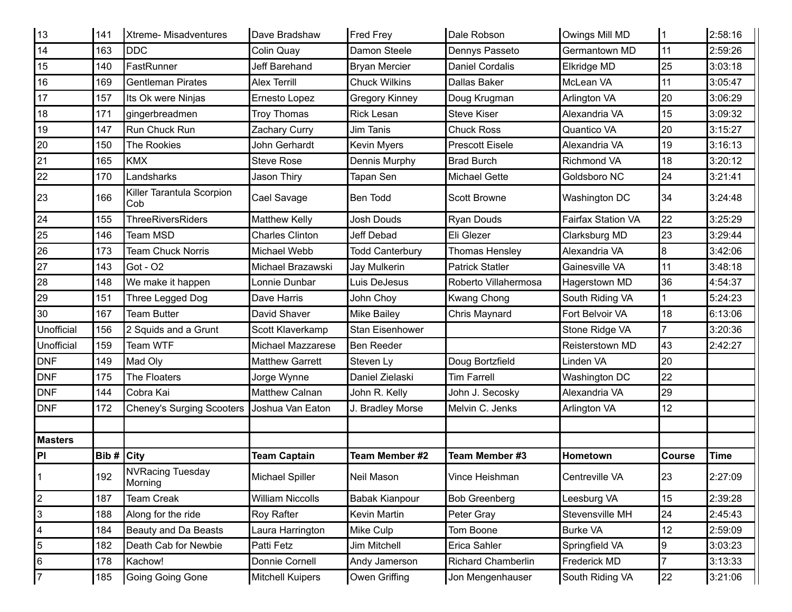| 13             | 141           | <b>Xtreme-Misadventures</b>      | Dave Bradshaw           | <b>Fred Frey</b>       | Dale Robson            | Owings Mill MD            |                | 2:58:16     |
|----------------|---------------|----------------------------------|-------------------------|------------------------|------------------------|---------------------------|----------------|-------------|
| 14             | 163           | <b>DDC</b>                       | Colin Quay              | Damon Steele           | Dennys Passeto         | Germantown MD             | 11             | 2:59:26     |
| 15             | 140           | FastRunner                       | Jeff Barehand           | <b>Bryan Mercier</b>   | <b>Daniel Cordalis</b> | Elkridge MD               | 25             | 3:03:18     |
| 16             | 169           | <b>Gentleman Pirates</b>         | <b>Alex Terrill</b>     | <b>Chuck Wilkins</b>   | <b>Dallas Baker</b>    | McLean VA                 | 11             | 3:05:47     |
| 17             | 157           | Its Ok were Ninjas               | Ernesto Lopez           | <b>Gregory Kinney</b>  | Doug Krugman           | Arlington VA              | 20             | 3:06:29     |
| 18             | 171           | gingerbreadmen                   | <b>Troy Thomas</b>      | <b>Rick Lesan</b>      | <b>Steve Kiser</b>     | Alexandria VA             | 15             | 3:09:32     |
| 19             | 147           | Run Chuck Run                    | Zachary Curry           | Jim Tanis              | <b>Chuck Ross</b>      | Quantico VA               | 20             | 3:15:27     |
| 20             | 150           | <b>The Rookies</b>               | John Gerhardt           | <b>Kevin Myers</b>     | <b>Prescott Eisele</b> | Alexandria VA             | 19             | 3:16:13     |
| 21             | 165           | <b>KMX</b>                       | <b>Steve Rose</b>       | Dennis Murphy          | <b>Brad Burch</b>      | <b>Richmond VA</b>        | 18             | 3:20:12     |
| 22             | 170           | Landsharks                       | Jason Thiry             | Tapan Sen              | <b>Michael Gette</b>   | Goldsboro NC              | 24             | 3:21:41     |
| 23             | 166           | Killer Tarantula Scorpion<br>Cob | Cael Savage             | <b>Ben Todd</b>        | <b>Scott Browne</b>    | Washington DC             | 34             | 3:24:48     |
| 24             | 155           | <b>ThreeRiversRiders</b>         | <b>Matthew Kelly</b>    | <b>Josh Douds</b>      | <b>Ryan Douds</b>      | <b>Fairfax Station VA</b> | 22             | 3:25:29     |
| 25             | 146           | <b>Team MSD</b>                  | <b>Charles Clinton</b>  | <b>Jeff Debad</b>      | Eli Glezer             | Clarksburg MD             | 23             | 3:29:44     |
| 26             | 173           | <b>Team Chuck Norris</b>         | Michael Webb            | <b>Todd Canterbury</b> | Thomas Hensley         | Alexandria VA             | 8              | 3:42:06     |
| 27             | 143           | Got - O2                         | Michael Brazawski       | Jay Mulkerin           | <b>Patrick Statler</b> | Gainesville VA            | 11             | 3:48:18     |
| 28             | 148           | We make it happen                | Lonnie Dunbar           | Luis DeJesus           | Roberto Villahermosa   | Hagerstown MD             | 36             | 4:54:37     |
| 29             | 151           | Three Legged Dog                 | Dave Harris             | John Choy              | <b>Kwang Chong</b>     | South Riding VA           |                | 5:24:23     |
| 30             | 167           | <b>Team Butter</b>               | David Shaver            | <b>Mike Bailey</b>     | Chris Maynard          | Fort Belvoir VA           | 18             | 6:13:06     |
| Unofficial     | 156           | 2 Squids and a Grunt             | Scott Klaverkamp        | Stan Eisenhower        |                        | Stone Ridge VA            | $\overline{7}$ | 3:20:36     |
| Unofficial     | 159           | Team WTF                         | Michael Mazzarese       | Ben Reeder             |                        | Reisterstown MD           | 43             | 2:42:27     |
| <b>DNF</b>     | 149           | Mad Oly                          | <b>Matthew Garrett</b>  | Steven Ly              | Doug Bortzfield        | Linden VA                 | 20             |             |
| <b>DNF</b>     | 175           | The Floaters                     | Jorge Wynne             | Daniel Zielaski        | Tim Farrell            | Washington DC             | 22             |             |
| DNF            | 144           | Cobra Kai                        | <b>Matthew Calnan</b>   | John R. Kelly          | John J. Secosky        | Alexandria VA             | 29             |             |
| <b>DNF</b>     | 172           | <b>Cheney's Surging Scooters</b> | Joshua Van Eaton        | J. Bradley Morse       | Melvin C. Jenks        | Arlington VA              | 12             |             |
|                |               |                                  |                         |                        |                        |                           |                |             |
| <b>Masters</b> |               |                                  |                         |                        |                        |                           |                |             |
| PI.            | Bib# $ $ City |                                  | <b>Team Captain</b>     | Team Member #2         | Team Member #3         | Hometown                  | Course         | <b>Time</b> |
| $\vert$ 1      | 192           | NVRacing Tuesday<br>Morning      | Michael Spiller         | Neil Mason             | Vince Heishman         | Centreville VA            | 23             | 2:27:09     |
| 2              | 187           | <b>Team Creak</b>                | <b>William Niccolls</b> | <b>Babak Kianpour</b>  | <b>Bob Greenberg</b>   | Leesburg VA               | 15             | 2:39:28     |
| 3              | 188           | Along for the ride               | Roy Rafter              | Kevin Martin           | Peter Gray             | Stevensville MH           | 24             | 2:45:43     |
| 4              | 184           | Beauty and Da Beasts             | Laura Harrington        | Mike Culp              | Tom Boone              | <b>Burke VA</b>           | 12             | 2:59:09     |
| $\overline{5}$ | 182           | Death Cab for Newbie             | Patti Fetz              | Jim Mitchell           | Erica Sahler           | Springfield VA            | 9              | 3:03:23     |
| 6              | 178           | Kachow!                          | Donnie Cornell          | Andy Jamerson          | Richard Chamberlin     | Frederick MD              |                | 3:13:33     |
| $\overline{7}$ | 185           | Going Going Gone                 | <b>Mitchell Kuipers</b> | Owen Griffing          | Jon Mengenhauser       | South Riding VA           | 22             | 3:21:06     |